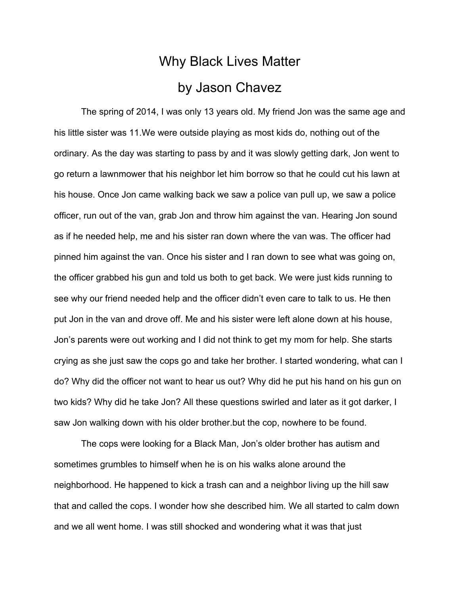## Why Black Lives Matter by Jason Chavez

The spring of 2014, I was only 13 years old. My friend Jon was the same age and his little sister was 11.We were outside playing as most kids do, nothing out of the ordinary. As the day was starting to pass by and it was slowly getting dark, Jon went to go return a lawnmower that his neighbor let him borrow so that he could cut his lawn at his house. Once Jon came walking back we saw a police van pull up, we saw a police officer, run out of the van, grab Jon and throw him against the van. Hearing Jon sound as if he needed help, me and his sister ran down where the van was. The officer had pinned him against the van. Once his sister and I ran down to see what was going on, the officer grabbed his gun and told us both to get back. We were just kids running to see why our friend needed help and the officer didn't even care to talk to us. He then put Jon in the van and drove off. Me and his sister were left alone down at his house, Jon's parents were out working and I did not think to get my mom for help. She starts crying as she just saw the cops go and take her brother. I started wondering, what can I do? Why did the officer not want to hear us out? Why did he put his hand on his gun on two kids? Why did he take Jon? All these questions swirled and later as it got darker, I saw Jon walking down with his older brother.but the cop, nowhere to be found.

The cops were looking for a Black Man, Jon's older brother has autism and sometimes grumbles to himself when he is on his walks alone around the neighborhood. He happened to kick a trash can and a neighbor living up the hill saw that and called the cops. I wonder how she described him. We all started to calm down and we all went home. I was still shocked and wondering what it was that just